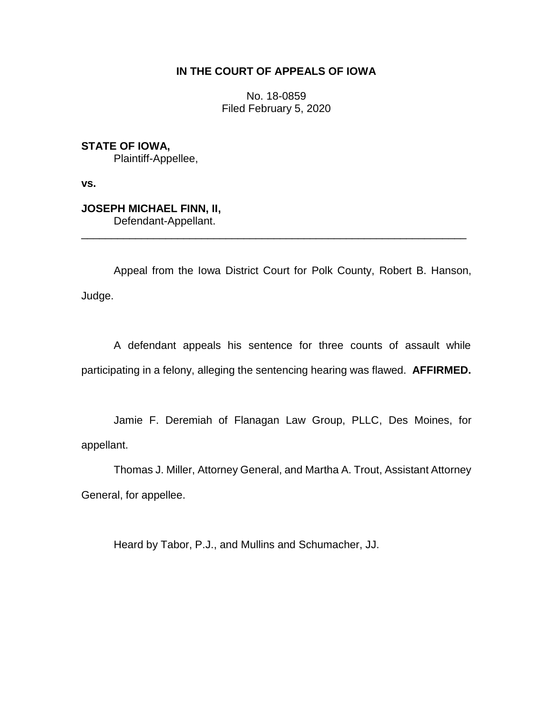# **IN THE COURT OF APPEALS OF IOWA**

No. 18-0859 Filed February 5, 2020

**STATE OF IOWA,** Plaintiff-Appellee,

**vs.**

**JOSEPH MICHAEL FINN, II,** Defendant-Appellant.

Appeal from the Iowa District Court for Polk County, Robert B. Hanson, Judge.

\_\_\_\_\_\_\_\_\_\_\_\_\_\_\_\_\_\_\_\_\_\_\_\_\_\_\_\_\_\_\_\_\_\_\_\_\_\_\_\_\_\_\_\_\_\_\_\_\_\_\_\_\_\_\_\_\_\_\_\_\_\_\_\_

A defendant appeals his sentence for three counts of assault while participating in a felony, alleging the sentencing hearing was flawed. **AFFIRMED.**

Jamie F. Deremiah of Flanagan Law Group, PLLC, Des Moines, for appellant.

Thomas J. Miller, Attorney General, and Martha A. Trout, Assistant Attorney General, for appellee.

Heard by Tabor, P.J., and Mullins and Schumacher, JJ.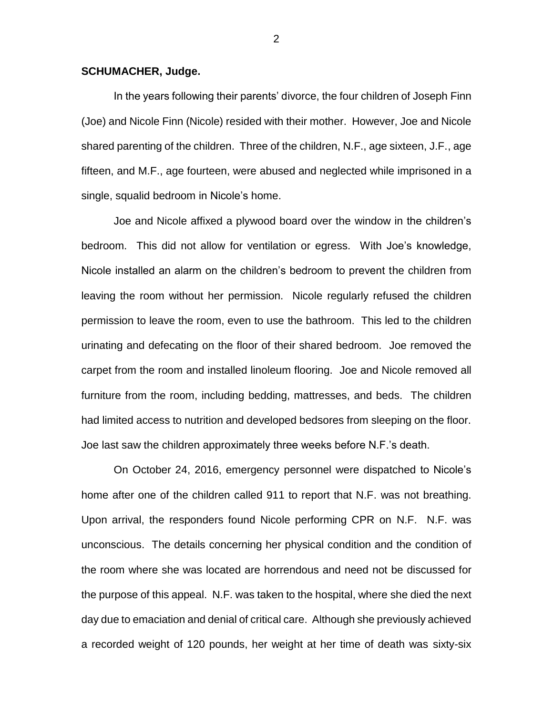### **SCHUMACHER, Judge.**

In the years following their parents' divorce, the four children of Joseph Finn (Joe) and Nicole Finn (Nicole) resided with their mother. However, Joe and Nicole shared parenting of the children. Three of the children, N.F., age sixteen, J.F., age fifteen, and M.F., age fourteen, were abused and neglected while imprisoned in a single, squalid bedroom in Nicole's home.

Joe and Nicole affixed a plywood board over the window in the children's bedroom. This did not allow for ventilation or egress. With Joe's knowledge, Nicole installed an alarm on the children's bedroom to prevent the children from leaving the room without her permission. Nicole regularly refused the children permission to leave the room, even to use the bathroom. This led to the children urinating and defecating on the floor of their shared bedroom. Joe removed the carpet from the room and installed linoleum flooring. Joe and Nicole removed all furniture from the room, including bedding, mattresses, and beds. The children had limited access to nutrition and developed bedsores from sleeping on the floor. Joe last saw the children approximately three weeks before N.F.'s death.

On October 24, 2016, emergency personnel were dispatched to Nicole's home after one of the children called 911 to report that N.F. was not breathing. Upon arrival, the responders found Nicole performing CPR on N.F. N.F. was unconscious. The details concerning her physical condition and the condition of the room where she was located are horrendous and need not be discussed for the purpose of this appeal. N.F. was taken to the hospital, where she died the next day due to emaciation and denial of critical care. Although she previously achieved a recorded weight of 120 pounds, her weight at her time of death was sixty-six

2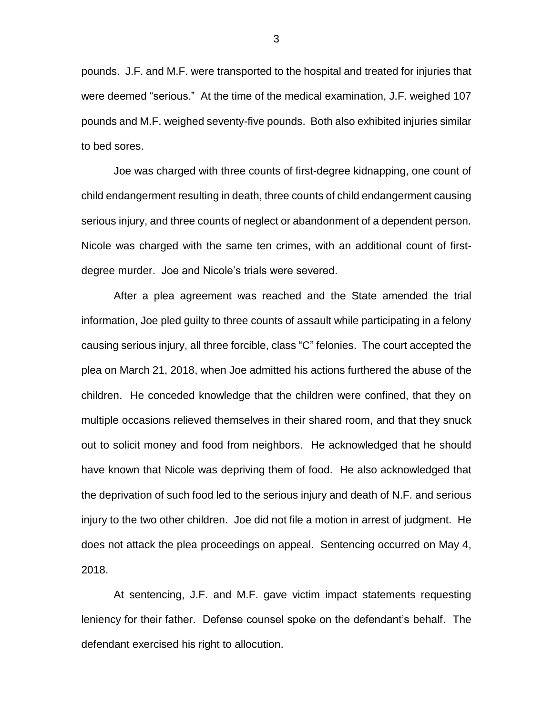pounds. J.F. and M.F. were transported to the hospital and treated for injuries that were deemed "serious." At the time of the medical examination, J.F. weighed 107 pounds and M.F. weighed seventy-five pounds. Both also exhibited injuries similar to bed sores.

Joe was charged with three counts of first-degree kidnapping, one count of child endangerment resulting in death, three counts of child endangerment causing serious injury, and three counts of neglect or abandonment of a dependent person. Nicole was charged with the same ten crimes, with an additional count of firstdegree murder. Joe and Nicole's trials were severed.

After a plea agreement was reached and the State amended the trial information, Joe pled guilty to three counts of assault while participating in a felony causing serious injury, all three forcible, class "C" felonies. The court accepted the plea on March 21, 2018, when Joe admitted his actions furthered the abuse of the children. He conceded knowledge that the children were confined, that they on multiple occasions relieved themselves in their shared room, and that they snuck out to solicit money and food from neighbors. He acknowledged that he should have known that Nicole was depriving them of food. He also acknowledged that the deprivation of such food led to the serious injury and death of N.F. and serious injury to the two other children. Joe did not file a motion in arrest of judgment. He does not attack the plea proceedings on appeal. Sentencing occurred on May 4, 2018.

At sentencing, J.F. and M.F. gave victim impact statements requesting leniency for their father. Defense counsel spoke on the defendant's behalf. The defendant exercised his right to allocution.

3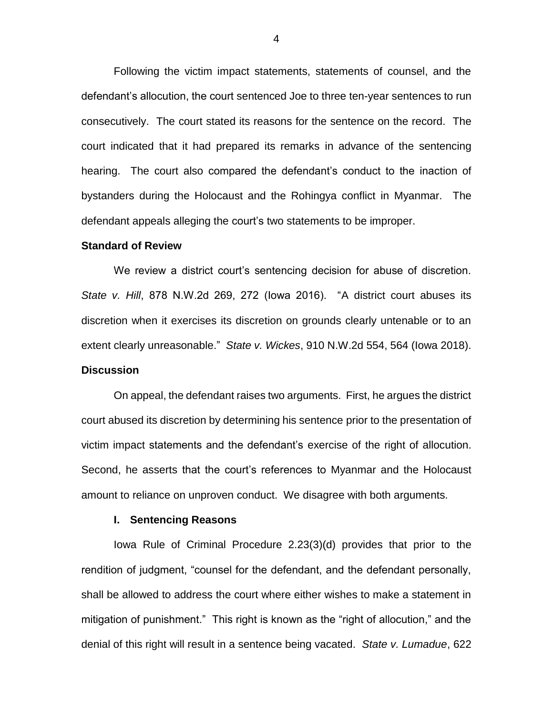Following the victim impact statements, statements of counsel, and the defendant's allocution, the court sentenced Joe to three ten-year sentences to run consecutively. The court stated its reasons for the sentence on the record. The court indicated that it had prepared its remarks in advance of the sentencing hearing. The court also compared the defendant's conduct to the inaction of bystanders during the Holocaust and the Rohingya conflict in Myanmar. The defendant appeals alleging the court's two statements to be improper.

#### **Standard of Review**

We review a district court's sentencing decision for abuse of discretion. *State v. Hill*, 878 N.W.2d 269, 272 (Iowa 2016). "A district court abuses its discretion when it exercises its discretion on grounds clearly untenable or to an extent clearly unreasonable." *State v. Wickes*, 910 N.W.2d 554, 564 (Iowa 2018). **Discussion**

On appeal, the defendant raises two arguments. First, he argues the district court abused its discretion by determining his sentence prior to the presentation of victim impact statements and the defendant's exercise of the right of allocution. Second, he asserts that the court's references to Myanmar and the Holocaust amount to reliance on unproven conduct. We disagree with both arguments.

#### **I. Sentencing Reasons**

Iowa Rule of Criminal Procedure 2.23(3)(d) provides that prior to the rendition of judgment, "counsel for the defendant, and the defendant personally, shall be allowed to address the court where either wishes to make a statement in mitigation of punishment." This right is known as the "right of allocution," and the denial of this right will result in a sentence being vacated. *State v. Lumadue*, 622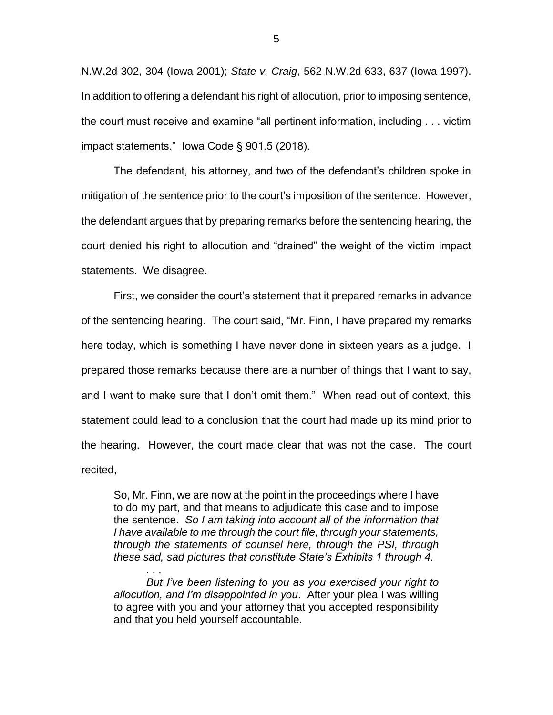N.W.2d 302, 304 (Iowa 2001); *State v. Craig*, 562 N.W.2d 633, 637 (Iowa 1997). In addition to offering a defendant his right of allocution, prior to imposing sentence, the court must receive and examine "all pertinent information, including . . . victim impact statements." Iowa Code § 901.5 (2018).

The defendant, his attorney, and two of the defendant's children spoke in mitigation of the sentence prior to the court's imposition of the sentence. However, the defendant argues that by preparing remarks before the sentencing hearing, the court denied his right to allocution and "drained" the weight of the victim impact statements. We disagree.

First, we consider the court's statement that it prepared remarks in advance of the sentencing hearing. The court said, "Mr. Finn, I have prepared my remarks here today, which is something I have never done in sixteen years as a judge. I prepared those remarks because there are a number of things that I want to say, and I want to make sure that I don't omit them." When read out of context, this statement could lead to a conclusion that the court had made up its mind prior to the hearing. However, the court made clear that was not the case. The court recited,

So, Mr. Finn, we are now at the point in the proceedings where I have to do my part, and that means to adjudicate this case and to impose the sentence. *So I am taking into account all of the information that I have available to me through the court file, through your statements, through the statements of counsel here, through the PSI, through these sad, sad pictures that constitute State's Exhibits 1 through 4.* 

*But I've been listening to you as you exercised your right to allocution, and I'm disappointed in you*. After your plea I was willing to agree with you and your attorney that you accepted responsibility and that you held yourself accountable.

. . .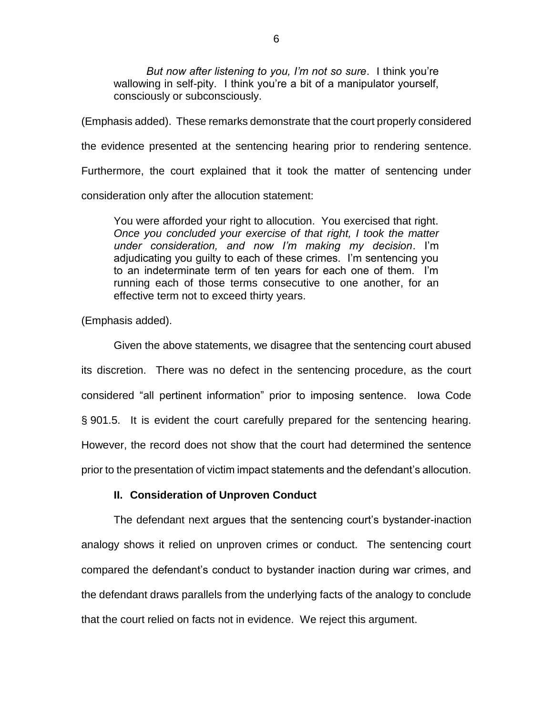*But now after listening to you, I'm not so sure*. I think you're wallowing in self-pity. I think you're a bit of a manipulator vourself. consciously or subconsciously.

(Emphasis added). These remarks demonstrate that the court properly considered the evidence presented at the sentencing hearing prior to rendering sentence. Furthermore, the court explained that it took the matter of sentencing under consideration only after the allocution statement:

You were afforded your right to allocution. You exercised that right. *Once you concluded your exercise of that right, I took the matter under consideration, and now I'm making my decision*. I'm adjudicating you guilty to each of these crimes. I'm sentencing you to an indeterminate term of ten years for each one of them. I'm running each of those terms consecutive to one another, for an effective term not to exceed thirty years.

(Emphasis added).

Given the above statements, we disagree that the sentencing court abused its discretion. There was no defect in the sentencing procedure, as the court considered "all pertinent information" prior to imposing sentence. Iowa Code § 901.5. It is evident the court carefully prepared for the sentencing hearing. However, the record does not show that the court had determined the sentence prior to the presentation of victim impact statements and the defendant's allocution.

## **II. Consideration of Unproven Conduct**

The defendant next argues that the sentencing court's bystander-inaction analogy shows it relied on unproven crimes or conduct. The sentencing court compared the defendant's conduct to bystander inaction during war crimes, and the defendant draws parallels from the underlying facts of the analogy to conclude that the court relied on facts not in evidence. We reject this argument.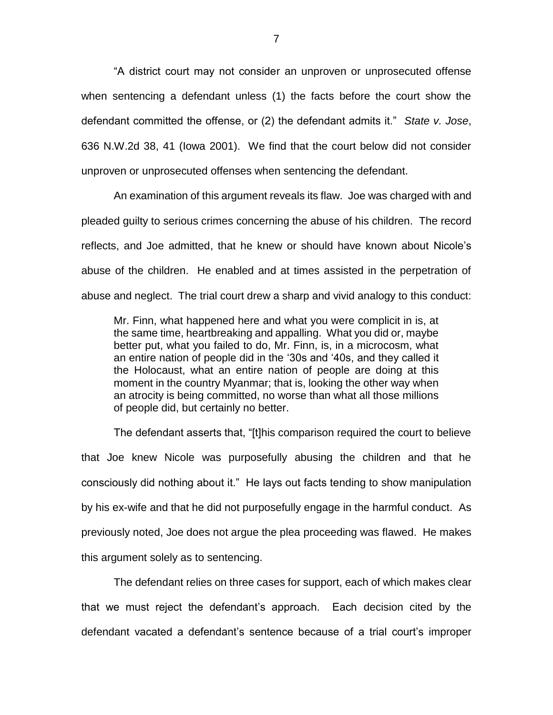"A district court may not consider an unproven or unprosecuted offense when sentencing a defendant unless (1) the facts before the court show the defendant committed the offense, or (2) the defendant admits it." *State v. Jose*, 636 N.W.2d 38, 41 (Iowa 2001). We find that the court below did not consider unproven or unprosecuted offenses when sentencing the defendant.

An examination of this argument reveals its flaw. Joe was charged with and pleaded guilty to serious crimes concerning the abuse of his children. The record reflects, and Joe admitted, that he knew or should have known about Nicole's abuse of the children. He enabled and at times assisted in the perpetration of abuse and neglect. The trial court drew a sharp and vivid analogy to this conduct:

Mr. Finn, what happened here and what you were complicit in is, at the same time, heartbreaking and appalling. What you did or, maybe better put, what you failed to do, Mr. Finn, is, in a microcosm, what an entire nation of people did in the '30s and '40s, and they called it the Holocaust, what an entire nation of people are doing at this moment in the country Myanmar; that is, looking the other way when an atrocity is being committed, no worse than what all those millions of people did, but certainly no better.

The defendant asserts that, "[t]his comparison required the court to believe that Joe knew Nicole was purposefully abusing the children and that he consciously did nothing about it." He lays out facts tending to show manipulation by his ex-wife and that he did not purposefully engage in the harmful conduct. As previously noted, Joe does not argue the plea proceeding was flawed. He makes this argument solely as to sentencing.

The defendant relies on three cases for support, each of which makes clear that we must reject the defendant's approach. Each decision cited by the defendant vacated a defendant's sentence because of a trial court's improper